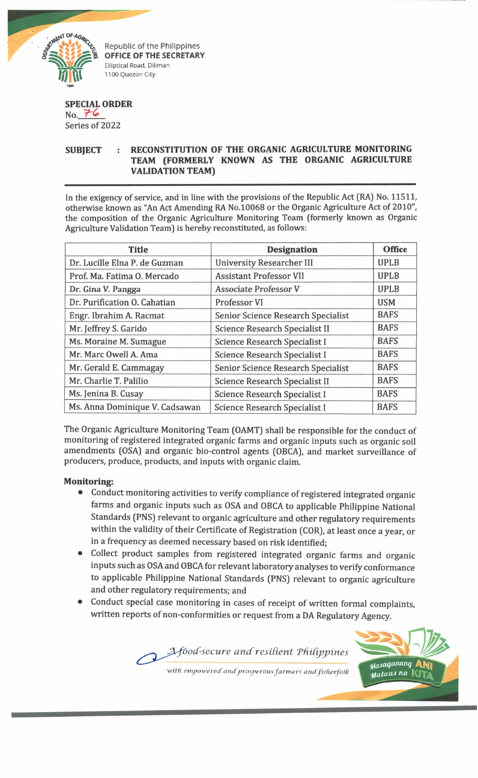

Republic of the Philippines **OFFICE OF THE SECRETARY Elliptical Road, Diliman 1100 Quezon City**

## **SPECIAL ORDER**

 $No.76$ Series of 2022

## **SUBJECT : RECONSTITUTION OF THE ORGANIC AGRICULTURE MONITORING TEAM (FORMERLY KNOWN AS THE ORGANIC AGRICULTURE VALIDATION TEAM)**

In the exigency of service, and in line with the provisions of the Republic Act (RA) No. 11511, otherwise known as "An Act Amending RA No.10068 or the Organic Agriculture Act of 2010", the composition of the Organic Agriculture Monitoring Team (formerly known as Organic Agriculture Validation Team) is hereby reconstituted, as follows:

| <b>Title</b>                   | <b>Designation</b>                    | <b>Office</b> |
|--------------------------------|---------------------------------------|---------------|
| Dr. Lucille Elna P. de Guzman  | <b>University Researcher III</b>      | <b>UPLB</b>   |
| Prof. Ma. Fatima O. Mercado    | <b>Assistant Professor VII</b>        | <b>UPLB</b>   |
| Dr. Gina V. Pangga             | <b>Associate Professor V</b>          | <b>UPLB</b>   |
| Dr. Purification O. Cahatian   | Professor VI                          | <b>USM</b>    |
| Engr. Ibrahim A. Racmat        | Senior Science Research Specialist    | <b>BAFS</b>   |
| Mr. Jeffrey S. Garido          | <b>Science Research Specialist II</b> | <b>BAFS</b>   |
| Ms. Moraine M. Sumague         | Science Research Specialist I         | <b>BAFS</b>   |
| Mr. Marc Owell A. Ama          | <b>Science Research Specialist I</b>  | <b>BAFS</b>   |
| Mr. Gerald E. Cammagay         | Senior Science Research Specialist    | <b>BAFS</b>   |
| Mr. Charlie T. Palilio         | Science Research Specialist II        | <b>BAFS</b>   |
| Ms. Jenina B. Cusay            | <b>Science Research Specialist I</b>  | <b>BAFS</b>   |
| Ms. Anna Dominique V. Cadsawan | <b>Science Research Specialist I</b>  | <b>BAFS</b>   |

The Organic Agriculture Monitoring Team (OAMT) shall be responsible for the conduct of monitoring of registered integrated organic farms and organic inputs such as organic soil amendments (OSA) and organic bio-control agents (OBCA), and market surveillance of producers, produce, products, and inputs with organic claim.

## **Monitoring:**

- Conduct monitoring activities to verify compliance of registered integrated organic farms and organic inputs such as OSA and OBCA to applicable Philippine National Standards (PNS) relevant to organic agriculture and other regulatory requirements within the validity of their Certificate of Registration (COR), at least once a year, or in a frequency as deemed necessary based on risk identified;
- Collect product samples from registered integrated organic farms and organic inputs such as OSA and OBCA for relevant laboratory analyses to verify conformance to applicable Philippine National Standards (PNS) relevant to organic agriculture and other regulatory requirements; and
- Conduct special case monitoring in cases of receipt of written formal complaints, written reports of non-conformities or request from a DA Regulatory Agency.

*with empowered andprosperous farmer*< *andfisherfofh*

Afood-secure and resilient Philippines

*^asaqunitrtq* **M**ataas na